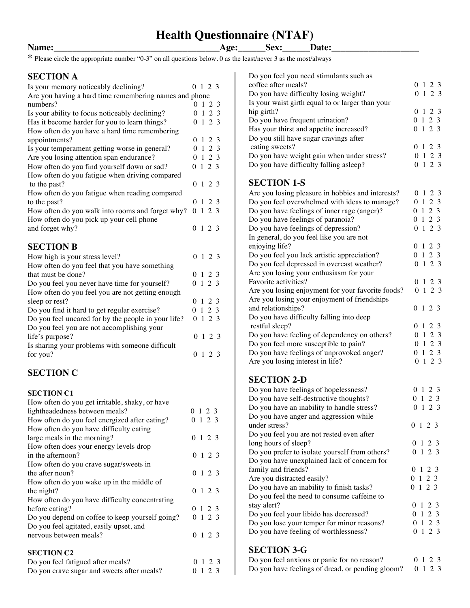# **Health Questionnaire (NTAF)**

**Name:\_\_\_\_\_\_\_\_\_\_\_\_\_\_\_\_\_\_\_\_\_\_\_\_\_\_\_\_\_\_\_\_\_\_\_\_Age:\_\_\_\_\_\_Sex:\_\_\_\_\_\_Date:\_\_\_\_\_\_\_\_\_\_\_\_\_\_\_\_\_\_\_**

**\*** Please circle the appropriate number "0-3" on all questions below. 0 as the least/never 3 as the most/always

#### **SECTION A**

| Is your memory noticeably declining?                   |          |                | $0 \t1 \t2 \t3$ |     |
|--------------------------------------------------------|----------|----------------|-----------------|-----|
| Are you having a hard time remembering names and phone |          |                |                 |     |
| numbers?                                               |          | 0 <sub>1</sub> |                 | 2 3 |
| Is your ability to focus noticeably declining?         |          |                | 0123            |     |
| Has it become harder for you to learn things?          |          |                | 0123            |     |
| How often do you have a hard time remembering          |          |                |                 |     |
| appointments?                                          | $\Omega$ | $\mathbf{1}$   | 2 3             |     |
| Is your temperament getting worse in general?          |          |                | 0123            |     |
| Are you losing attention span endurance?               |          |                | 0123            |     |
| How often do you find yourself down or sad?            |          |                | $0 \t1 \t2 \t3$ |     |
| How often do you fatigue when driving compared         |          |                |                 |     |
| to the past?                                           |          |                | 0123            |     |
| How often do you fatigue when reading compared         |          |                |                 |     |
| to the past?                                           |          |                | $0 \t1 \t2 \t3$ |     |
| How often do you walk into rooms and forget why?       |          |                | $0 \t1 \t2 \t3$ |     |
| How often do you pick up your cell phone               |          |                |                 |     |
| and forget why?                                        |          |                | $0 \t1 \t2 \t3$ |     |
|                                                        |          |                |                 |     |
| <b>SECTION B</b>                                       |          |                |                 |     |
| How high is your stress level?                         | 0        |                | 1 2 3           |     |
| How often do you feel that you have something          |          |                |                 |     |
| that must be done?                                     |          |                | $0 \t1 \t2 \t3$ |     |
| Do you feel you never have time for yourself?          |          |                | 0123            |     |
| How often do you feel you are not getting enough       |          |                |                 |     |
| sleep or rest?                                         |          |                | $0 \t1 \t2 \t3$ |     |
| Do you find it hard to get regular exercise?           |          |                | 0123            |     |
| Do you feel uncared for by the people in your life?    | 0        |                | $1\ 2\ 3$       |     |
| Do you feel you are not accomplishing your             |          |                |                 |     |
| life's purpose?                                        | 0        |                | 1 2 3           |     |
| Is sharing your problems with someone difficult        |          |                |                 |     |
| for you?                                               | 0        |                | $1\,2\,3$       |     |
|                                                        |          |                |                 |     |

### **SECTION C**

#### **SECTION C1**

| How often do you get irritable, shaky, or have  |                 |
|-------------------------------------------------|-----------------|
| lightheadedness between meals?                  | 0 1 2 3         |
| How often do you feel energized after eating?   | 0 1 2 3         |
| How often do you have difficulty eating         |                 |
| large meals in the morning?                     | $0 \t1 \t2 \t3$ |
| How often does your energy levels drop          |                 |
| in the afternoon?                               | 0123            |
| How often do you crave sugar/sweets in          |                 |
| the after noon?                                 | $0 \t1 \t2 \t3$ |
| How often do you wake up in the middle of       |                 |
| the night?                                      | 0 1 2 3         |
| How often do you have difficulty concentrating  |                 |
| before eating?                                  | 0 1 2 3         |
| Do you depend on coffee to keep yourself going? | $0 \t1 \t2 \t3$ |
| Do you feel agitated, easily upset, and         |                 |
| nervous between meals?                          | $0 \t1 \t2 \t3$ |
|                                                 |                 |
| <b>SECTION C2</b>                               |                 |
| Do you feel fatigued after meals?               | 0 1 2 3         |
| Do you crave sugar and sweets after meals?      | 0 1 2 3         |

Do you crave sugar and sweets after meals?

| Do you feel you need stimulants such as                                                   |                                     |
|-------------------------------------------------------------------------------------------|-------------------------------------|
| coffee after meals?                                                                       | 0 1 2 3<br>0 1 2 3                  |
| Do you have difficulty losing weight?<br>Is your waist girth equal to or larger than your |                                     |
| hip girth?                                                                                | 0 1 2<br>-3                         |
| Do you have frequent urination?                                                           | 0123                                |
| Has your thirst and appetite increased?                                                   | 0123                                |
| Do you still have sugar cravings after                                                    |                                     |
| eating sweets?                                                                            | 0 1<br>2<br>3                       |
| Do you have weight gain when under stress?                                                | 0123                                |
| Do you have difficulty falling asleep?                                                    | 1 2 3<br>0                          |
| <b>SECTION 1-S</b>                                                                        |                                     |
| Are you losing pleasure in hobbies and interests?                                         | 0 1 2 3                             |
| Do you feel overwhelmed with ideas to manage?                                             | 0123                                |
| Do you have feelings of inner rage (anger)?                                               | 2 <sub>3</sub><br>$\mathbf{1}$<br>0 |
| Do you have feelings of paranoia?                                                         | 2 3<br>0 <sub>1</sub>               |
| Do you have feelings of depression?                                                       | $1\ 2\ 3$<br>0                      |
| In general, do you feel like you are not                                                  |                                     |
| enjoying life?                                                                            | 0 1 2 3                             |
| Do you feel you lack artistic appreciation?                                               | 0123<br>1 2 3                       |
| Do you feel depressed in overcast weather?<br>Are you losing your enthusiasm for your     | 0                                   |
| Favorite activities?                                                                      | 0 1 2 3                             |
| Are you losing enjoyment for your favorite foods?                                         | $1\ 2\ 3$<br>0                      |
| Are you losing your enjoyment of friendships                                              |                                     |
| and relationships?                                                                        | 1 2 3<br>0                          |
| Do you have difficulty falling into deep                                                  |                                     |
| restful sleep?                                                                            | 2 3<br>01                           |
| Do you have feeling of dependency on others?                                              | 2 3<br>0 <sub>1</sub>               |
| Do you feel more susceptible to pain?                                                     | 0123                                |
| Do you have feelings of unprovoked anger?                                                 | 0 1 2 3                             |
| Are you losing interest in life?                                                          | $0 \t1 \t2 \t3$                     |
| <b>SECTION 2-D</b>                                                                        |                                     |
| Do you have feelings of hopelessness?                                                     | 2 3<br>01                           |
| Do you have self-destructive thoughts?                                                    | 2 3<br>$\mathbf{1}$<br>0            |
| Do you have an inability to handle stress?                                                | $0 \t1 \t2 \t3$                     |
| Do you have anger and aggression while                                                    |                                     |
| under stress?                                                                             | 0 1 2 3                             |
| Do you feel you are not rested even after                                                 |                                     |
| long hours of sleep?<br>Do you prefer to isolate yourself from others?                    | 0 1 2 3<br>0 1 2 3                  |
| Do you have unexplained lack of concern for                                               |                                     |
| family and friends?                                                                       | 0 1 2 3                             |
| Are you distracted easily?                                                                | 0123                                |
| Do you have an inability to finish tasks?                                                 | 0123                                |
| Do you feel the need to consume caffeine to                                               |                                     |
| stay alert?                                                                               | 0 1 2 3                             |
| Do you feel your libido has decreased?                                                    | 0123                                |
| Do you lose your temper for minor reasons?                                                | 0123                                |
| Do you have feeling of worthlessness?                                                     | 0123                                |
|                                                                                           |                                     |

## **SECTION 3-G**

| Do you feel anxious or panic for no reason?              | 0 1 2 3 |  |  |
|----------------------------------------------------------|---------|--|--|
| Do you have feelings of dread, or pending gloom? 0 1 2 3 |         |  |  |